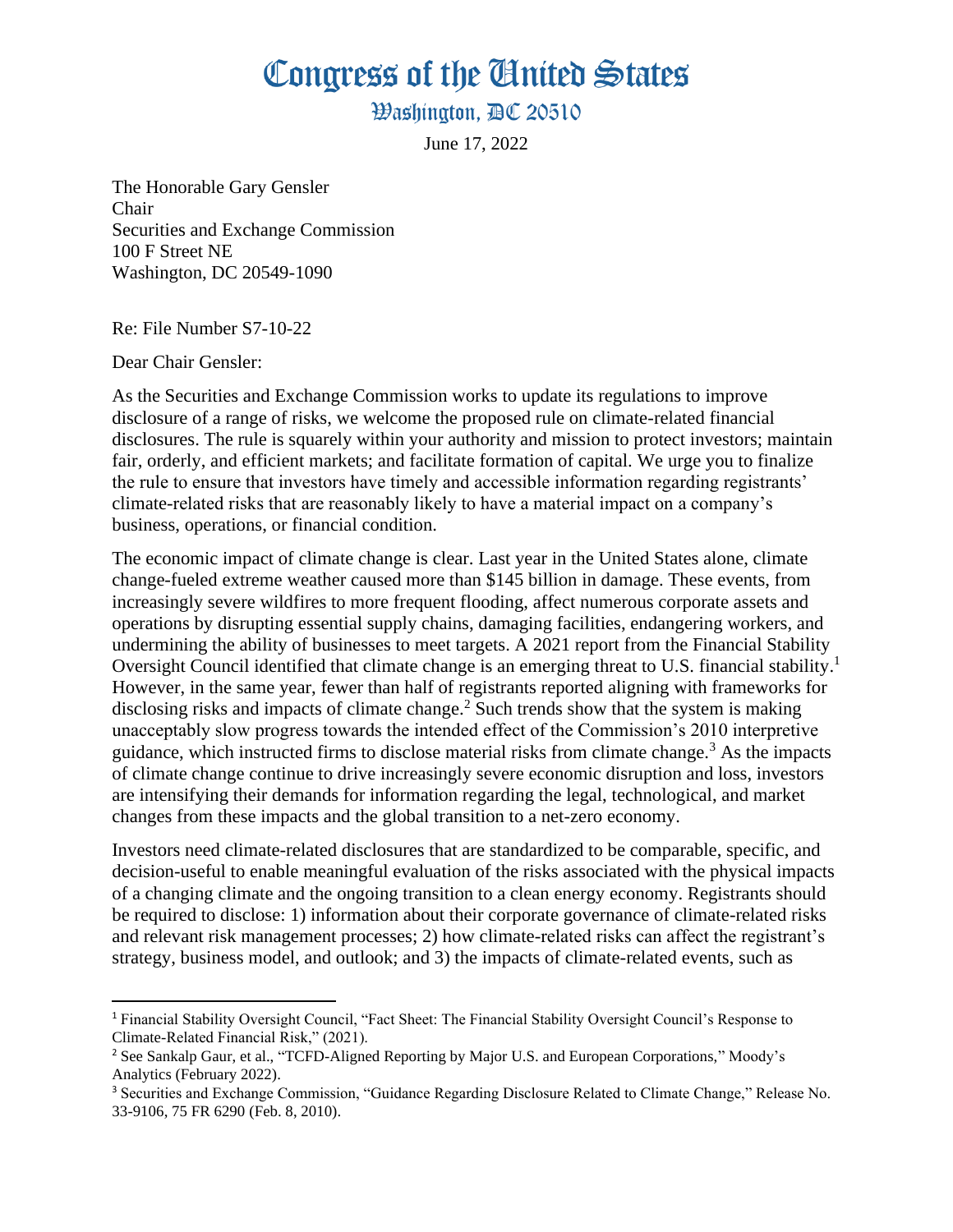Congress of the Ginited States

**Washington, AC 20510** 

June 17, 2022

The Honorable Gary Gensler Chair Securities and Exchange Commission 100 F Street NE Washington, DC 20549-1090

Re: File Number S7-10-22

Dear Chair Gensler:

As the Securities and Exchange Commission works to update its regulations to improve disclosure of a range of risks, we welcome the proposed rule on climate-related financial disclosures. The rule is squarely within your authority and mission to protect investors; maintain fair, orderly, and efficient markets; and facilitate formation of capital. We urge you to finalize the rule to ensure that investors have timely and accessible information regarding registrants' climate-related risks that are reasonably likely to have a material impact on a company's business, operations, or financial condition.

The economic impact of climate change is clear. Last year in the United States alone, climate change-fueled extreme weather caused more than \$145 billion in damage. These events, from increasingly severe wildfires to more frequent flooding, affect numerous corporate assets and operations by disrupting essential supply chains, damaging facilities, endangering workers, and undermining the ability of businesses to meet targets. A 2021 report from the Financial Stability Oversight Council identified that climate change is an emerging threat to U.S. financial stability.<sup>1</sup> However, in the same year, fewer than half of registrants reported aligning with frameworks for disclosing risks and impacts of climate change.<sup>2</sup> Such trends show that the system is making unacceptably slow progress towards the intended effect of the Commission's 2010 interpretive guidance, which instructed firms to disclose material risks from climate change.<sup>3</sup> As the impacts of climate change continue to drive increasingly severe economic disruption and loss, investors are intensifying their demands for information regarding the legal, technological, and market changes from these impacts and the global transition to a net-zero economy.

Investors need climate-related disclosures that are standardized to be comparable, specific, and decision-useful to enable meaningful evaluation of the risks associated with the physical impacts of a changing climate and the ongoing transition to a clean energy economy. Registrants should be required to disclose: 1) information about their corporate governance of climate-related risks and relevant risk management processes; 2) how climate-related risks can affect the registrant's strategy, business model, and outlook; and 3) the impacts of climate-related events, such as

<sup>1</sup> Financial Stability Oversight Council, "Fact Sheet: The Financial Stability Oversight Council's Response to Climate-Related Financial Risk," (2021).

<sup>2</sup> See Sankalp Gaur, et al., "TCFD-Aligned Reporting by Major U.S. and European Corporations," Moody's Analytics (February 2022).

<sup>3</sup> Securities and Exchange Commission, "Guidance Regarding Disclosure Related to Climate Change," Release No. 33-9106, 75 FR 6290 (Feb. 8, 2010).